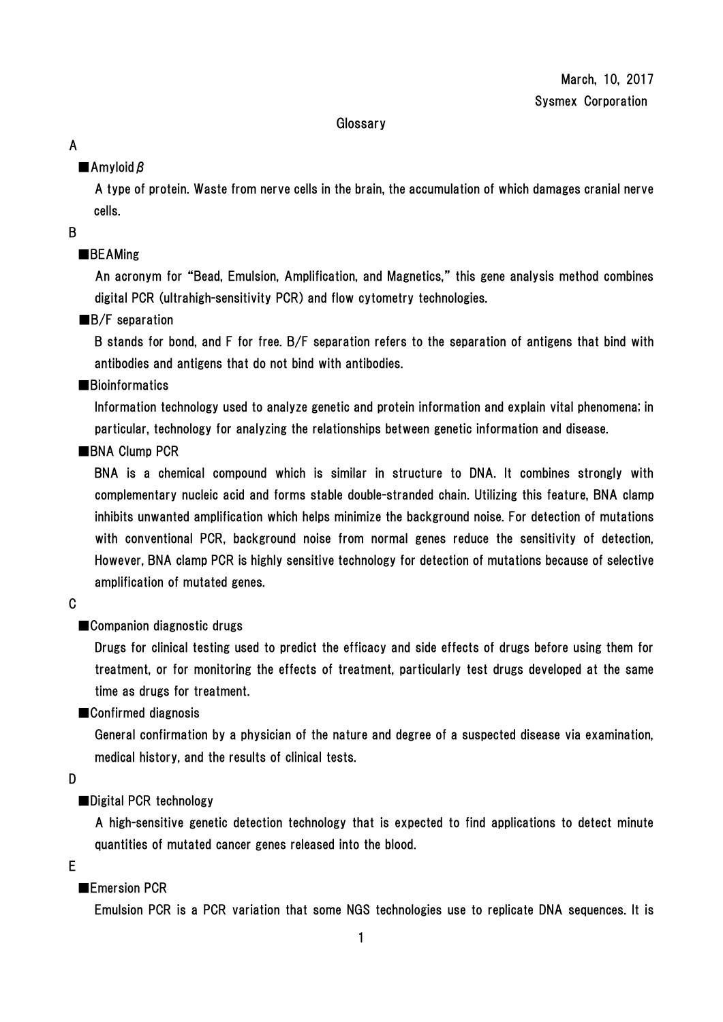#### **Glossary**

## A

## ■Amyloid β

A type of protein. Waste from nerve cells in the brain, the accumulation of which damages cranial nerve cells.

B

## ■BEAMing

An acronym for "Bead, Emulsion, Amplification, and Magnetics," this gene analysis method combines digital PCR (ultrahigh-sensitivity PCR) and flow cytometry technologies.

## ■B/F separation

B stands for bond, and F for free. B/F separation refers to the separation of antigens that bind with antibodies and antigens that do not bind with antibodies.

### ■**Bioinformatics**

Information technology used to analyze genetic and protein information and explain vital phenomena; in particular, technology for analyzing the relationships between genetic information and disease.

## ■BNA Clump PCR

BNA is a chemical compound which is similar in structure to DNA. It combines strongly with complementary nucleic acid and forms stable double-stranded chain. Utilizing this feature, BNA clamp inhibits unwanted amplification which helps minimize the background noise. For detection of mutations with conventional PCR, background noise from normal genes reduce the sensitivity of detection, However, BNA clamp PCR is highly sensitive technology for detection of mutations because of selective amplification of mutated genes.

C

## ■Companion diagnostic drugs

Drugs for clinical testing used to predict the efficacy and side effects of drugs before using them for treatment, or for monitoring the effects of treatment, particularly test drugs developed at the same time as drugs for treatment.

## ■Confirmed diagnosis

General confirmation by a physician of the nature and degree of a suspected disease via examination, medical history, and the results of clinical tests.

D

## ■Digital PCR technology

A high-sensitive genetic detection technology that is expected to find applications to detect minute quantities of mutated cancer genes released into the blood.

E

## ■Emersion PCR

Emulsion PCR is a PCR variation that some NGS technologies use to replicate DNA sequences. It is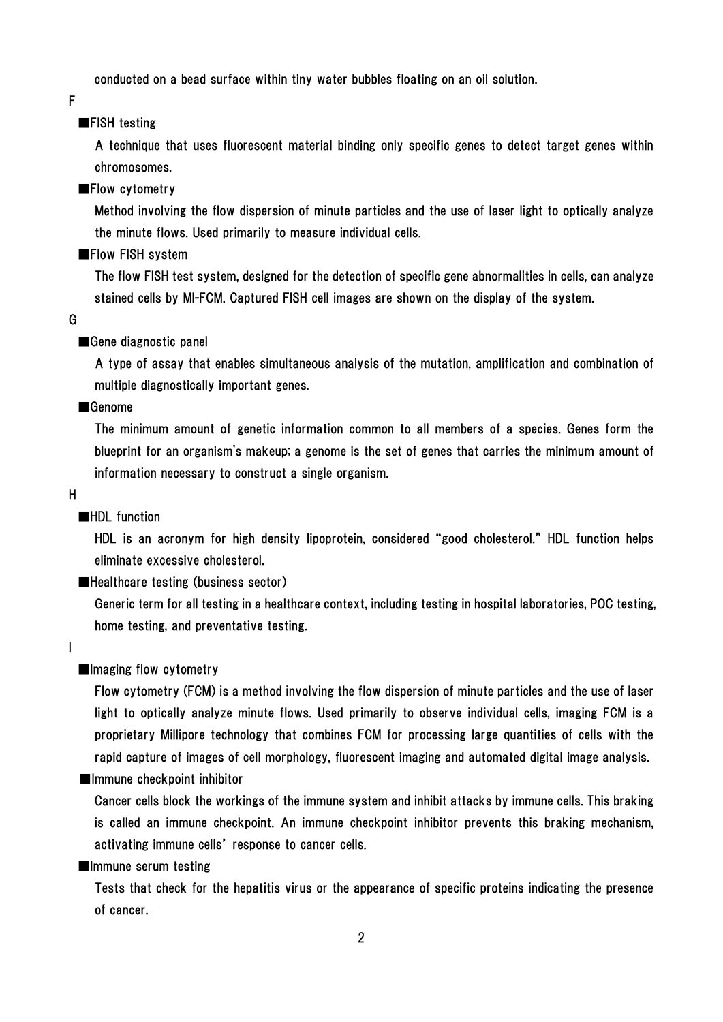conducted on a bead surface within tiny water bubbles floating on an oil solution.

F

### ■FISH testing

A technique that uses fluorescent material binding only specific genes to detect target genes within chromosomes.

#### ■Flow cytometry

Method involving the flow dispersion of minute particles and the use of laser light to optically analyze the minute flows. Used primarily to measure individual cells.

#### ■Flow FISH system

The flow FISH test system, designed for the detection of specific gene abnormalities in cells, can analyze stained cells by MI-FCM. Captured FISH cell images are shown on the display of the system.

G

#### ■Gene diagnostic panel

A type of assay that enables simultaneous analysis of the mutation, amplification and combination of multiple diagnostically important genes.

#### ■Genome

The minimum amount of genetic information common to all members of a species. Genes form the blueprint for an organism's makeup; a genome is the set of genes that carries the minimum amount of information necessary to construct a single organism.

H

#### ■HDL function

HDL is an acronym for high density lipoprotein, considered "good cholesterol." HDL function helps eliminate excessive cholesterol.

### ■Healthcare testing (business sector)

Generic term for all testing in a healthcare context, including testing in hospital laboratories, POC testing, home testing, and preventative testing.

I

#### ■Imaging flow cytometry

Flow cytometry (FCM) is a method involving the flow dispersion of minute particles and the use of laser light to optically analyze minute flows. Used primarily to observe individual cells, imaging FCM is a proprietary Millipore technology that combines FCM for processing large quantities of cells with the rapid capture of images of cell morphology, fluorescent imaging and automated digital image analysis.

### ■Immune checkpoint inhibitor

Cancer cells block the workings of the immune system and inhibit attacks by immune cells. This braking is called an immune checkpoint. An immune checkpoint inhibitor prevents this braking mechanism, activating immune cells' response to cancer cells.

#### ■Immune serum testing

Tests that check for the hepatitis virus or the appearance of specific proteins indicating the presence of cancer.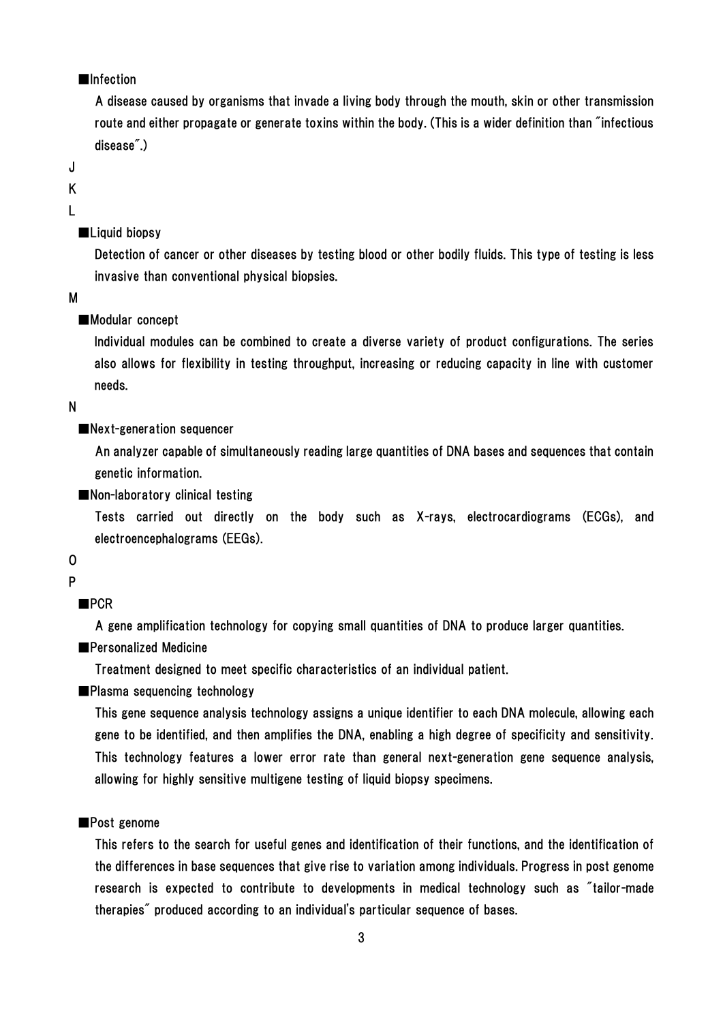### ■Infection

A disease caused by organisms that invade a living body through the mouth, skin or other transmission route and either propagate or generate toxins within the body. (This is a wider definition than "infectious disease".)

J

K

L

### ■Liquid biopsy

Detection of cancer or other diseases by testing blood or other bodily fluids. This type of testing is less invasive than conventional physical biopsies.

#### M

#### ■Modular concept

Individual modules can be combined to create a diverse variety of product configurations. The series also allows for flexibility in testing throughput, increasing or reducing capacity in line with customer needs.

#### N

#### ■Next-generation sequencer

An analyzer capable of simultaneously reading large quantities of DNA bases and sequences that contain genetic information.

■Non-laboratory clinical testing

Tests carried out directly on the body such as X-rays, electrocardiograms (ECGs), and electroencephalograms (EEGs).

O

### P

■PCR

A gene amplification technology for copying small quantities of DNA to produce larger quantities.

## ■Personalized Medicine

Treatment designed to meet specific characteristics of an individual patient.

■Plasma sequencing technology

This gene sequence analysis technology assigns a unique identifier to each DNA molecule, allowing each gene to be identified, and then amplifies the DNA, enabling a high degree of specificity and sensitivity. This technology features a lower error rate than general next-generation gene sequence analysis, allowing for highly sensitive multigene testing of liquid biopsy specimens.

### ■Post genome

This refers to the search for useful genes and identification of their functions, and the identification of the differences in base sequences that give rise to variation among individuals. Progress in post genome research is expected to contribute to developments in medical technology such as "tailor-made therapies" produced according to an individual's particular sequence of bases.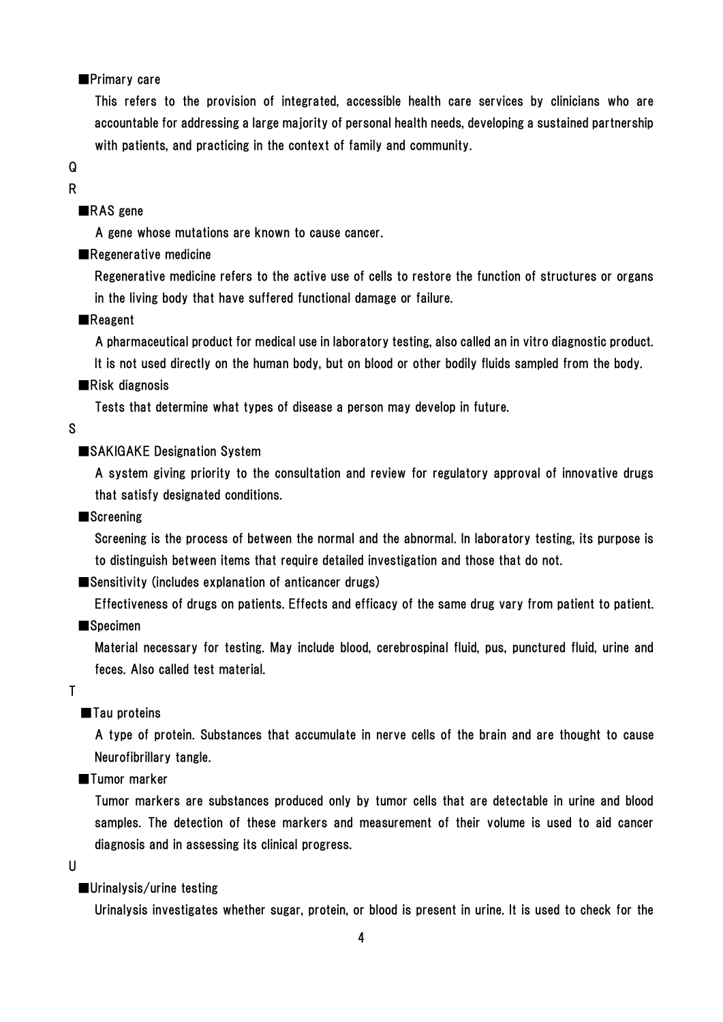#### ■Primary care

This refers to the provision of integrated, accessible health care services by clinicians who are accountable for addressing a large majority of personal health needs, developing a sustained partnership with patients, and practicing in the context of family and community.

# Q

### R

### ■RAS gene

A gene whose mutations are known to cause cancer.

### ■Regenerative medicine

Regenerative medicine refers to the active use of cells to restore the function of structures or organs in the living body that have suffered functional damage or failure.

#### ■Reagent

A pharmaceutical product for medical use in laboratory testing, also called an in vitro diagnostic product.

It is not used directly on the human body, but on blood or other bodily fluids sampled from the body.

#### ■Risk diagnosis

Tests that determine what types of disease a person may develop in future.

#### S

#### ■SAKIGAKE Designation System

A system giving priority to the consultation and review for regulatory approval of innovative drugs that satisfy designated conditions.

#### ■Screening

Screening is the process of between the normal and the abnormal. In laboratory testing, its purpose is to distinguish between items that require detailed investigation and those that do not.

■Sensitivity (includes explanation of anticancer drugs)

Effectiveness of drugs on patients. Effects and efficacy of the same drug vary from patient to patient.

## ■Specimen

Material necessary for testing. May include blood, cerebrospinal fluid, pus, punctured fluid, urine and feces. Also called test material.

#### T

### ■Tau proteins

A type of protein. Substances that accumulate in nerve cells of the brain and are thought to cause Neurofibrillary tangle.

■Tumor marker

Tumor markers are substances produced only by tumor cells that are detectable in urine and blood samples. The detection of these markers and measurement of their volume is used to aid cancer diagnosis and in assessing its clinical progress.

#### U

#### ■Urinalysis/urine testing

Urinalysis investigates whether sugar, protein, or blood is present in urine. It is used to check for the